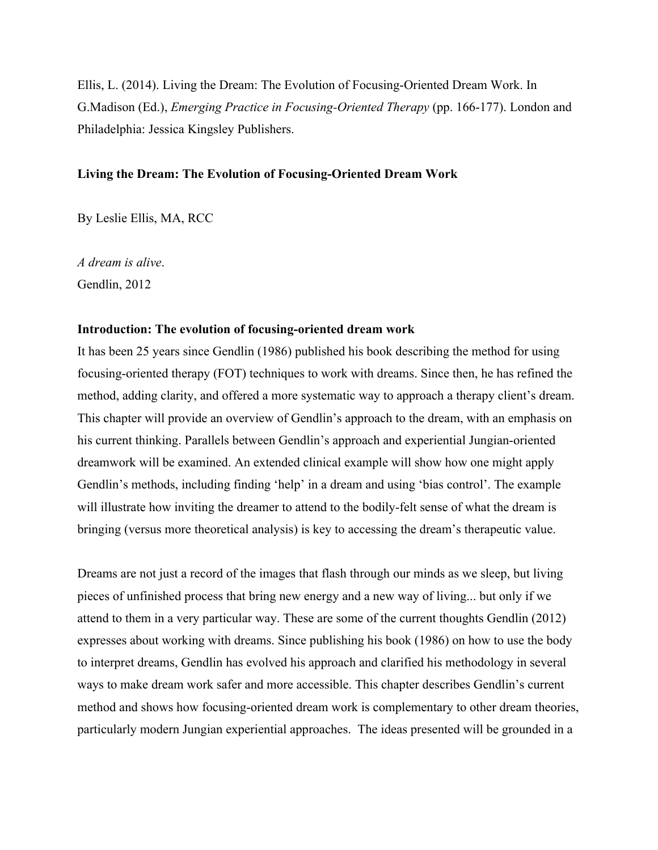Ellis, L. (2014). Living the Dream: The Evolution of Focusing-Oriented Dream Work. In G.Madison (Ed.), *Emerging Practice in Focusing-Oriented Therapy* (pp. 166-177). London and Philadelphia: Jessica Kingsley Publishers.

## **Living the Dream: The Evolution of Focusing-Oriented Dream Work**

By Leslie Ellis, MA, RCC

*A dream is alive*. Gendlin, 2012

#### **Introduction: The evolution of focusing-oriented dream work**

It has been 25 years since Gendlin (1986) published his book describing the method for using focusing-oriented therapy (FOT) techniques to work with dreams. Since then, he has refined the method, adding clarity, and offered a more systematic way to approach a therapy client's dream. This chapter will provide an overview of Gendlin's approach to the dream, with an emphasis on his current thinking. Parallels between Gendlin's approach and experiential Jungian-oriented dreamwork will be examined. An extended clinical example will show how one might apply Gendlin's methods, including finding 'help' in a dream and using 'bias control'. The example will illustrate how inviting the dreamer to attend to the bodily-felt sense of what the dream is bringing (versus more theoretical analysis) is key to accessing the dream's therapeutic value.

Dreams are not just a record of the images that flash through our minds as we sleep, but living pieces of unfinished process that bring new energy and a new way of living... but only if we attend to them in a very particular way. These are some of the current thoughts Gendlin (2012) expresses about working with dreams. Since publishing his book (1986) on how to use the body to interpret dreams, Gendlin has evolved his approach and clarified his methodology in several ways to make dream work safer and more accessible. This chapter describes Gendlin's current method and shows how focusing-oriented dream work is complementary to other dream theories, particularly modern Jungian experiential approaches. The ideas presented will be grounded in a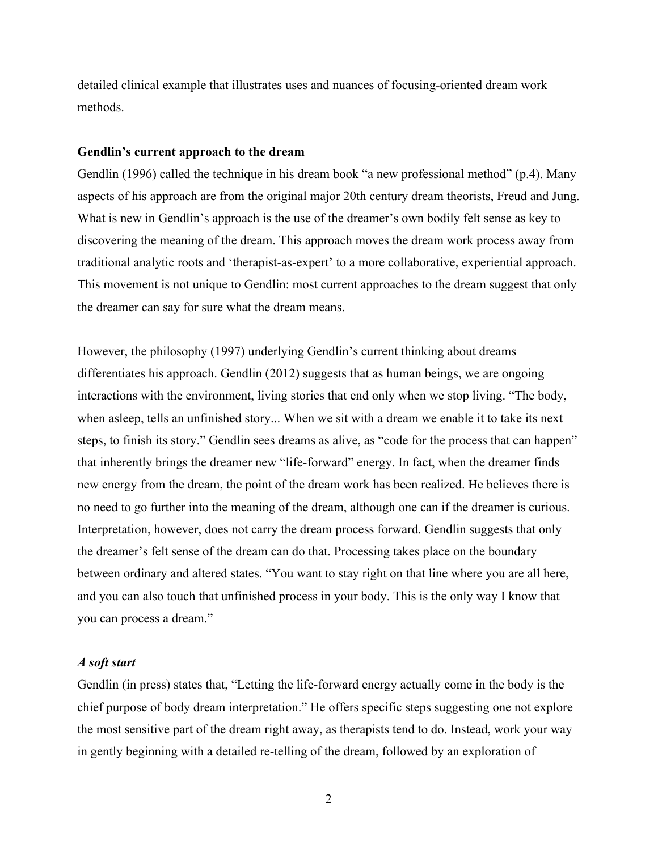detailed clinical example that illustrates uses and nuances of focusing-oriented dream work methods.

#### **Gendlin's current approach to the dream**

Gendlin (1996) called the technique in his dream book "a new professional method" (p.4). Many aspects of his approach are from the original major 20th century dream theorists, Freud and Jung. What is new in Gendlin's approach is the use of the dreamer's own bodily felt sense as key to discovering the meaning of the dream. This approach moves the dream work process away from traditional analytic roots and 'therapist-as-expert' to a more collaborative, experiential approach. This movement is not unique to Gendlin: most current approaches to the dream suggest that only the dreamer can say for sure what the dream means.

However, the philosophy (1997) underlying Gendlin's current thinking about dreams differentiates his approach. Gendlin (2012) suggests that as human beings, we are ongoing interactions with the environment, living stories that end only when we stop living. "The body, when asleep, tells an unfinished story... When we sit with a dream we enable it to take its next steps, to finish its story." Gendlin sees dreams as alive, as "code for the process that can happen" that inherently brings the dreamer new "life-forward" energy. In fact, when the dreamer finds new energy from the dream, the point of the dream work has been realized. He believes there is no need to go further into the meaning of the dream, although one can if the dreamer is curious. Interpretation, however, does not carry the dream process forward. Gendlin suggests that only the dreamer's felt sense of the dream can do that. Processing takes place on the boundary between ordinary and altered states. "You want to stay right on that line where you are all here, and you can also touch that unfinished process in your body. This is the only way I know that you can process a dream."

## *A soft start*

Gendlin (in press) states that, "Letting the life-forward energy actually come in the body is the chief purpose of body dream interpretation." He offers specific steps suggesting one not explore the most sensitive part of the dream right away, as therapists tend to do. Instead, work your way in gently beginning with a detailed re-telling of the dream, followed by an exploration of

2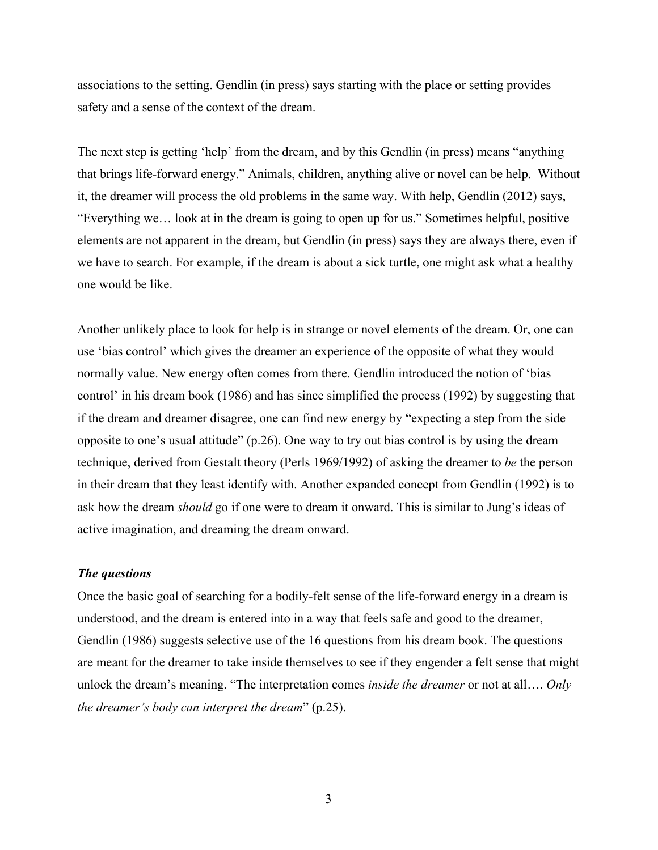associations to the setting. Gendlin (in press) says starting with the place or setting provides safety and a sense of the context of the dream.

The next step is getting 'help' from the dream, and by this Gendlin (in press) means "anything that brings life-forward energy." Animals, children, anything alive or novel can be help. Without it, the dreamer will process the old problems in the same way. With help, Gendlin (2012) says, "Everything we… look at in the dream is going to open up for us." Sometimes helpful, positive elements are not apparent in the dream, but Gendlin (in press) says they are always there, even if we have to search. For example, if the dream is about a sick turtle, one might ask what a healthy one would be like.

Another unlikely place to look for help is in strange or novel elements of the dream. Or, one can use 'bias control' which gives the dreamer an experience of the opposite of what they would normally value. New energy often comes from there. Gendlin introduced the notion of 'bias control' in his dream book (1986) and has since simplified the process (1992) by suggesting that if the dream and dreamer disagree, one can find new energy by "expecting a step from the side opposite to one's usual attitude" (p.26). One way to try out bias control is by using the dream technique, derived from Gestalt theory (Perls 1969/1992) of asking the dreamer to *be* the person in their dream that they least identify with. Another expanded concept from Gendlin (1992) is to ask how the dream *should* go if one were to dream it onward. This is similar to Jung's ideas of active imagination, and dreaming the dream onward.

## *The questions*

Once the basic goal of searching for a bodily-felt sense of the life-forward energy in a dream is understood, and the dream is entered into in a way that feels safe and good to the dreamer, Gendlin (1986) suggests selective use of the 16 questions from his dream book. The questions are meant for the dreamer to take inside themselves to see if they engender a felt sense that might unlock the dream's meaning. "The interpretation comes *inside the dreamer* or not at all…. *Only the dreamer's body can interpret the dream*" (p.25).

3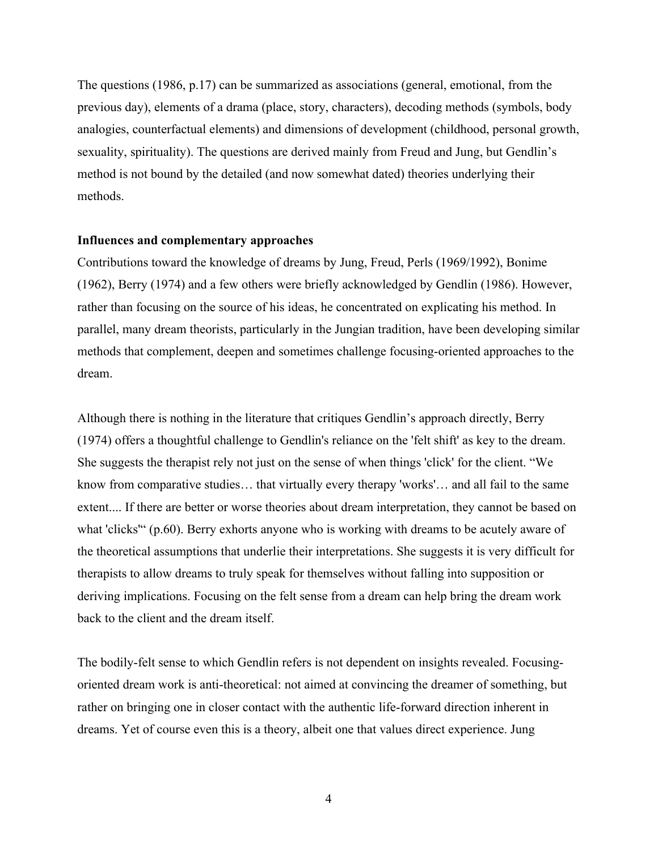The questions (1986, p.17) can be summarized as associations (general, emotional, from the previous day), elements of a drama (place, story, characters), decoding methods (symbols, body analogies, counterfactual elements) and dimensions of development (childhood, personal growth, sexuality, spirituality). The questions are derived mainly from Freud and Jung, but Gendlin's method is not bound by the detailed (and now somewhat dated) theories underlying their methods.

#### **Influences and complementary approaches**

Contributions toward the knowledge of dreams by Jung, Freud, Perls (1969/1992), Bonime (1962), Berry (1974) and a few others were briefly acknowledged by Gendlin (1986). However, rather than focusing on the source of his ideas, he concentrated on explicating his method. In parallel, many dream theorists, particularly in the Jungian tradition, have been developing similar methods that complement, deepen and sometimes challenge focusing-oriented approaches to the dream.

Although there is nothing in the literature that critiques Gendlin's approach directly, Berry (1974) offers a thoughtful challenge to Gendlin's reliance on the 'felt shift' as key to the dream. She suggests the therapist rely not just on the sense of when things 'click' for the client. "We know from comparative studies… that virtually every therapy 'works'… and all fail to the same extent.... If there are better or worse theories about dream interpretation, they cannot be based on what 'clicks'" (p.60). Berry exhorts anyone who is working with dreams to be acutely aware of the theoretical assumptions that underlie their interpretations. She suggests it is very difficult for therapists to allow dreams to truly speak for themselves without falling into supposition or deriving implications. Focusing on the felt sense from a dream can help bring the dream work back to the client and the dream itself.

The bodily-felt sense to which Gendlin refers is not dependent on insights revealed. Focusingoriented dream work is anti-theoretical: not aimed at convincing the dreamer of something, but rather on bringing one in closer contact with the authentic life-forward direction inherent in dreams. Yet of course even this is a theory, albeit one that values direct experience. Jung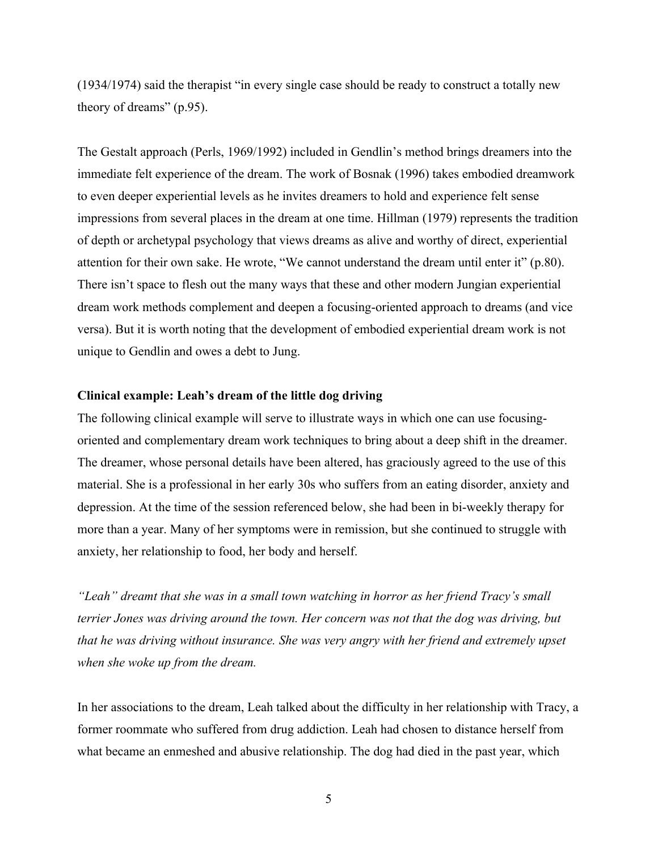(1934/1974) said the therapist "in every single case should be ready to construct a totally new theory of dreams" (p.95).

The Gestalt approach (Perls, 1969/1992) included in Gendlin's method brings dreamers into the immediate felt experience of the dream. The work of Bosnak (1996) takes embodied dreamwork to even deeper experiential levels as he invites dreamers to hold and experience felt sense impressions from several places in the dream at one time. Hillman (1979) represents the tradition of depth or archetypal psychology that views dreams as alive and worthy of direct, experiential attention for their own sake. He wrote, "We cannot understand the dream until enter it" (p.80). There isn't space to flesh out the many ways that these and other modern Jungian experiential dream work methods complement and deepen a focusing-oriented approach to dreams (and vice versa). But it is worth noting that the development of embodied experiential dream work is not unique to Gendlin and owes a debt to Jung.

## **Clinical example: Leah's dream of the little dog driving**

The following clinical example will serve to illustrate ways in which one can use focusingoriented and complementary dream work techniques to bring about a deep shift in the dreamer. The dreamer, whose personal details have been altered, has graciously agreed to the use of this material. She is a professional in her early 30s who suffers from an eating disorder, anxiety and depression. At the time of the session referenced below, she had been in bi-weekly therapy for more than a year. Many of her symptoms were in remission, but she continued to struggle with anxiety, her relationship to food, her body and herself.

*"Leah" dreamt that she was in a small town watching in horror as her friend Tracy's small terrier Jones was driving around the town. Her concern was not that the dog was driving, but that he was driving without insurance. She was very angry with her friend and extremely upset when she woke up from the dream.*

In her associations to the dream, Leah talked about the difficulty in her relationship with Tracy, a former roommate who suffered from drug addiction. Leah had chosen to distance herself from what became an enmeshed and abusive relationship. The dog had died in the past year, which

5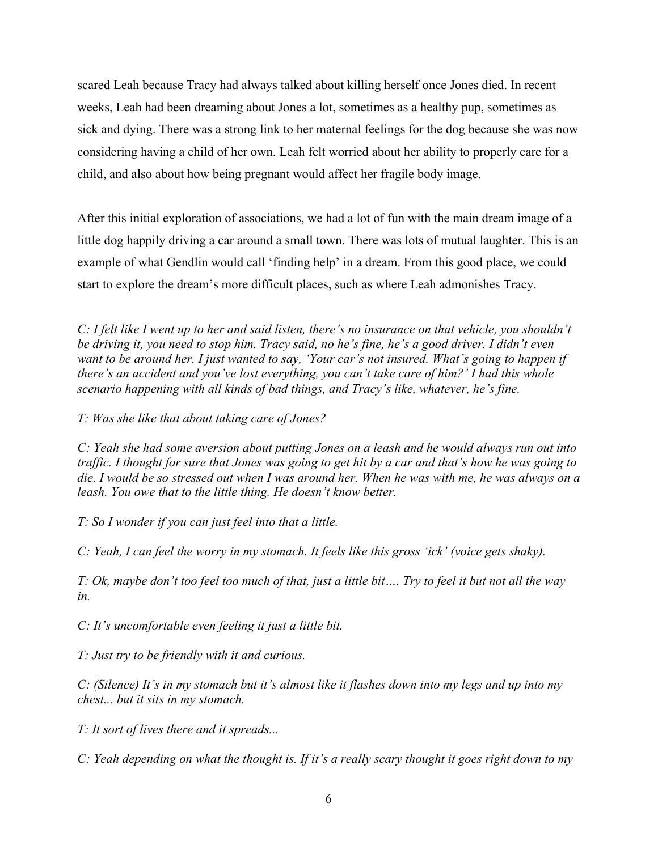scared Leah because Tracy had always talked about killing herself once Jones died. In recent weeks, Leah had been dreaming about Jones a lot, sometimes as a healthy pup, sometimes as sick and dying. There was a strong link to her maternal feelings for the dog because she was now considering having a child of her own. Leah felt worried about her ability to properly care for a child, and also about how being pregnant would affect her fragile body image.

After this initial exploration of associations, we had a lot of fun with the main dream image of a little dog happily driving a car around a small town. There was lots of mutual laughter. This is an example of what Gendlin would call 'finding help' in a dream. From this good place, we could start to explore the dream's more difficult places, such as where Leah admonishes Tracy.

*C: I felt like I went up to her and said listen, there's no insurance on that vehicle, you shouldn't be driving it, you need to stop him. Tracy said, no he's fine, he's a good driver. I didn't even want to be around her. I just wanted to say, 'Your car's not insured. What's going to happen if there's an accident and you've lost everything, you can't take care of him?' I had this whole scenario happening with all kinds of bad things, and Tracy's like, whatever, he's fine.*

# *T: Was she like that about taking care of Jones?*

*C: Yeah she had some aversion about putting Jones on a leash and he would always run out into traffic. I thought for sure that Jones was going to get hit by a car and that's how he was going to die. I would be so stressed out when I was around her. When he was with me, he was always on a leash. You owe that to the little thing. He doesn't know better.*

*T: So I wonder if you can just feel into that a little.*

*C: Yeah, I can feel the worry in my stomach. It feels like this gross 'ick' (voice gets shaky).*

*T: Ok, maybe don't too feel too much of that, just a little bit…. Try to feel it but not all the way in.*

*C: It's uncomfortable even feeling it just a little bit.*

*T: Just try to be friendly with it and curious.*

*C: (Silence) It's in my stomach but it's almost like it flashes down into my legs and up into my chest... but it sits in my stomach.* 

*T: It sort of lives there and it spreads...*

*C: Yeah depending on what the thought is. If it's a really scary thought it goes right down to my*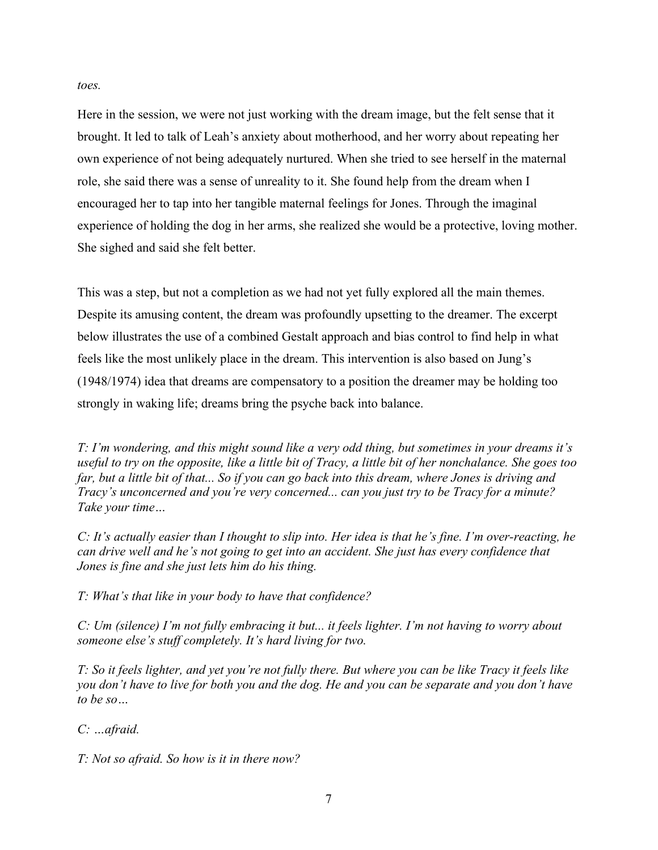*toes.*

Here in the session, we were not just working with the dream image, but the felt sense that it brought. It led to talk of Leah's anxiety about motherhood, and her worry about repeating her own experience of not being adequately nurtured. When she tried to see herself in the maternal role, she said there was a sense of unreality to it. She found help from the dream when I encouraged her to tap into her tangible maternal feelings for Jones. Through the imaginal experience of holding the dog in her arms, she realized she would be a protective, loving mother. She sighed and said she felt better.

This was a step, but not a completion as we had not yet fully explored all the main themes. Despite its amusing content, the dream was profoundly upsetting to the dreamer. The excerpt below illustrates the use of a combined Gestalt approach and bias control to find help in what feels like the most unlikely place in the dream. This intervention is also based on Jung's (1948/1974) idea that dreams are compensatory to a position the dreamer may be holding too strongly in waking life; dreams bring the psyche back into balance.

*T: I'm wondering, and this might sound like a very odd thing, but sometimes in your dreams it's useful to try on the opposite, like a little bit of Tracy, a little bit of her nonchalance. She goes too far, but a little bit of that... So if you can go back into this dream, where Jones is driving and Tracy's unconcerned and you're very concerned... can you just try to be Tracy for a minute? Take your time…*

*C: It's actually easier than I thought to slip into. Her idea is that he's fine. I'm over-reacting, he can drive well and he's not going to get into an accident. She just has every confidence that Jones is fine and she just lets him do his thing.*

*T: What's that like in your body to have that confidence?*

*C: Um (silence) I'm not fully embracing it but... it feels lighter. I'm not having to worry about someone else's stuff completely. It's hard living for two.*

*T: So it feels lighter, and yet you're not fully there. But where you can be like Tracy it feels like you don't have to live for both you and the dog. He and you can be separate and you don't have to be so…*

*C: …afraid.*

*T: Not so afraid. So how is it in there now?*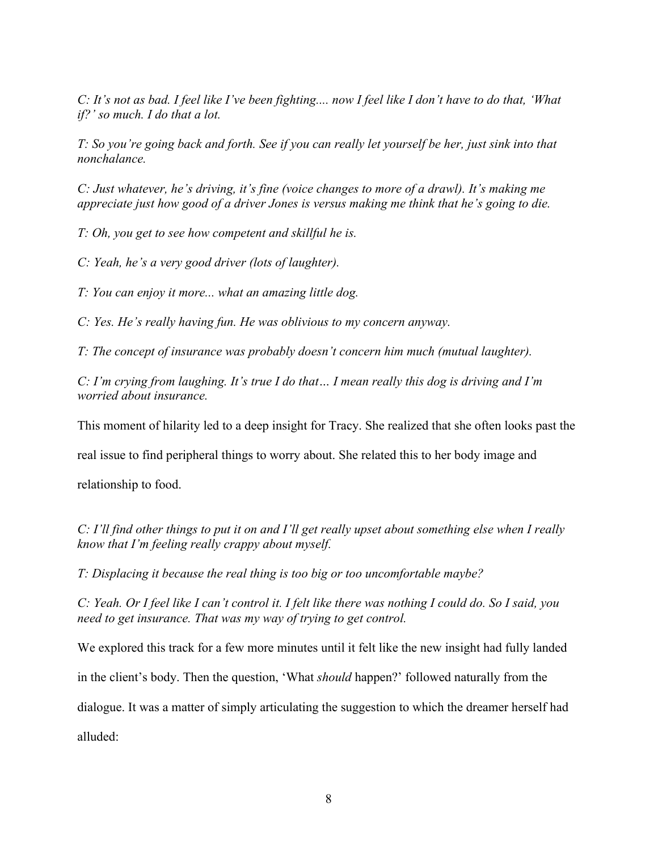*C: It's not as bad. I feel like I've been fighting.... now I feel like I don't have to do that, 'What if?' so much. I do that a lot.* 

*T: So you're going back and forth. See if you can really let yourself be her, just sink into that nonchalance.*

*C: Just whatever, he's driving, it's fine (voice changes to more of a drawl). It's making me appreciate just how good of a driver Jones is versus making me think that he's going to die.* 

*T: Oh, you get to see how competent and skillful he is.*

*C: Yeah, he's a very good driver (lots of laughter).*

*T: You can enjoy it more... what an amazing little dog.*

*C: Yes. He's really having fun. He was oblivious to my concern anyway.*

*T: The concept of insurance was probably doesn't concern him much (mutual laughter).* 

*C: I'm crying from laughing. It's true I do that… I mean really this dog is driving and I'm worried about insurance.*

This moment of hilarity led to a deep insight for Tracy. She realized that she often looks past the

real issue to find peripheral things to worry about. She related this to her body image and

relationship to food.

*C: I'll find other things to put it on and I'll get really upset about something else when I really know that I'm feeling really crappy about myself.*

*T: Displacing it because the real thing is too big or too uncomfortable maybe?*

*C: Yeah. Or I feel like I can't control it. I felt like there was nothing I could do. So I said, you need to get insurance. That was my way of trying to get control.* 

We explored this track for a few more minutes until it felt like the new insight had fully landed in the client's body. Then the question, 'What *should* happen?' followed naturally from the dialogue. It was a matter of simply articulating the suggestion to which the dreamer herself had alluded: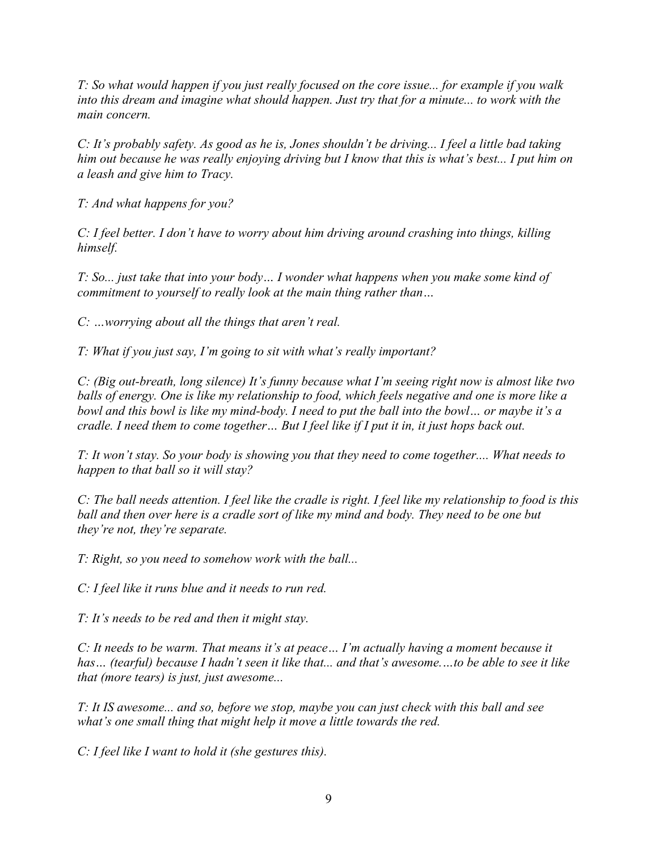*T: So what would happen if you just really focused on the core issue... for example if you walk into this dream and imagine what should happen. Just try that for a minute... to work with the main concern.*

*C: It's probably safety. As good as he is, Jones shouldn't be driving... I feel a little bad taking him out because he was really enjoying driving but I know that this is what's best... I put him on a leash and give him to Tracy.*

*T: And what happens for you?*

*C: I feel better. I don't have to worry about him driving around crashing into things, killing himself.*

*T: So... just take that into your body… I wonder what happens when you make some kind of commitment to yourself to really look at the main thing rather than…*

*C: …worrying about all the things that aren't real.*

*T: What if you just say, I'm going to sit with what's really important?*

*C: (Big out-breath, long silence) It's funny because what I'm seeing right now is almost like two balls of energy. One is like my relationship to food, which feels negative and one is more like a bowl and this bowl is like my mind-body. I need to put the ball into the bowl… or maybe it's a cradle. I need them to come together… But I feel like if I put it in, it just hops back out.*

*T: It won't stay. So your body is showing you that they need to come together.... What needs to happen to that ball so it will stay?*

*C: The ball needs attention. I feel like the cradle is right. I feel like my relationship to food is this ball and then over here is a cradle sort of like my mind and body. They need to be one but they're not, they're separate.*

*T: Right, so you need to somehow work with the ball...*

*C: I feel like it runs blue and it needs to run red.*

*T: It's needs to be red and then it might stay.*

*C: It needs to be warm. That means it's at peace… I'm actually having a moment because it has… (tearful) because I hadn't seen it like that... and that's awesome.…to be able to see it like that (more tears) is just, just awesome...*

*T: It IS awesome... and so, before we stop, maybe you can just check with this ball and see what's one small thing that might help it move a little towards the red.*

*C: I feel like I want to hold it (she gestures this).*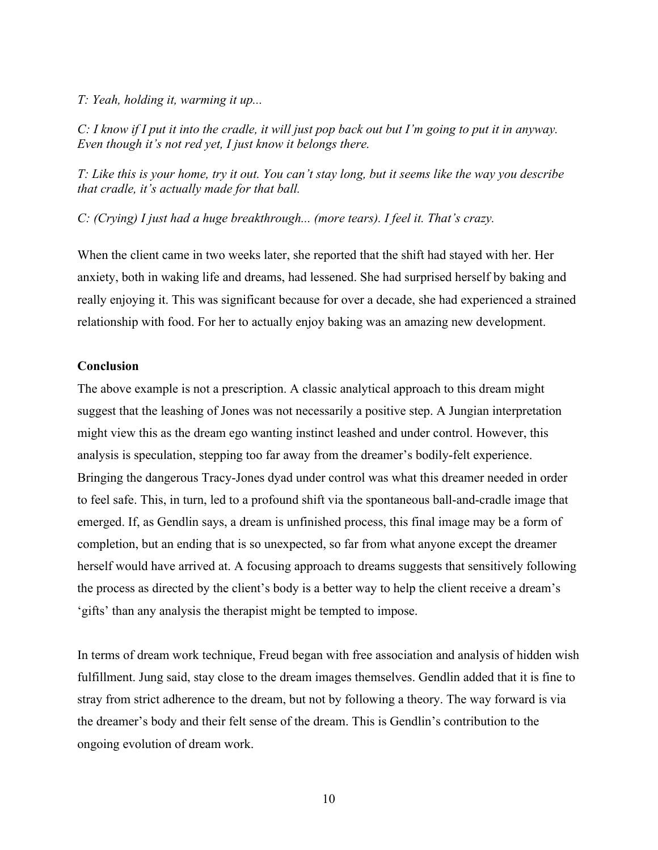*T: Yeah, holding it, warming it up...* 

*C: I know if I put it into the cradle, it will just pop back out but I'm going to put it in anyway. Even though it's not red yet, I just know it belongs there.*

*T: Like this is your home, try it out. You can't stay long, but it seems like the way you describe that cradle, it's actually made for that ball.*

*C: (Crying) I just had a huge breakthrough... (more tears). I feel it. That's crazy.*

When the client came in two weeks later, she reported that the shift had stayed with her. Her anxiety, both in waking life and dreams, had lessened. She had surprised herself by baking and really enjoying it. This was significant because for over a decade, she had experienced a strained relationship with food. For her to actually enjoy baking was an amazing new development.

## **Conclusion**

The above example is not a prescription. A classic analytical approach to this dream might suggest that the leashing of Jones was not necessarily a positive step. A Jungian interpretation might view this as the dream ego wanting instinct leashed and under control. However, this analysis is speculation, stepping too far away from the dreamer's bodily-felt experience. Bringing the dangerous Tracy-Jones dyad under control was what this dreamer needed in order to feel safe. This, in turn, led to a profound shift via the spontaneous ball-and-cradle image that emerged. If, as Gendlin says, a dream is unfinished process, this final image may be a form of completion, but an ending that is so unexpected, so far from what anyone except the dreamer herself would have arrived at. A focusing approach to dreams suggests that sensitively following the process as directed by the client's body is a better way to help the client receive a dream's 'gifts' than any analysis the therapist might be tempted to impose.

In terms of dream work technique, Freud began with free association and analysis of hidden wish fulfillment. Jung said, stay close to the dream images themselves. Gendlin added that it is fine to stray from strict adherence to the dream, but not by following a theory. The way forward is via the dreamer's body and their felt sense of the dream. This is Gendlin's contribution to the ongoing evolution of dream work.